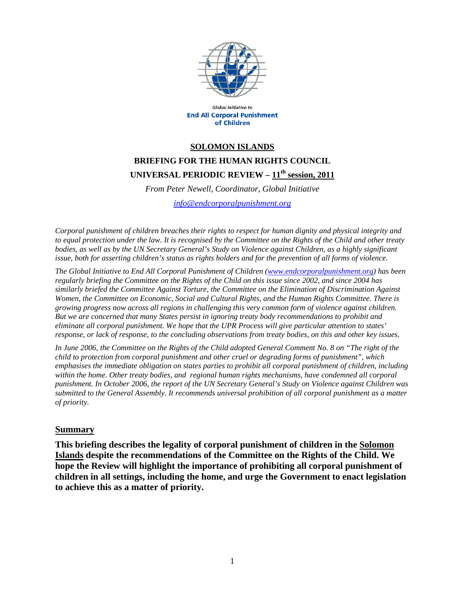

Global Initiative to **End All Corporal Punishment** of Children

## **SOLOMON ISLANDS BRIEFING FOR THE HUMAN RIGHTS COUNCIL UNIVERSAL PERIODIC REVIEW – 11th session, 2011**

*From Peter Newell, Coordinator, Global Initiative* 

*info@endcorporalpunishment.org*

*Corporal punishment of children breaches their rights to respect for human dignity and physical integrity and to equal protection under the law. It is recognised by the Committee on the Rights of the Child and other treaty bodies, as well as by the UN Secretary General's Study on Violence against Children, as a highly significant issue, both for asserting children's status as rights holders and for the prevention of all forms of violence.* 

*The Global Initiative to End All Corporal Punishment of Children (www.endcorporalpunishment.org) has been regularly briefing the Committee on the Rights of the Child on this issue since 2002, and since 2004 has similarly briefed the Committee Against Torture, the Committee on the Elimination of Discrimination Against Women, the Committee on Economic, Social and Cultural Rights, and the Human Rights Committee. There is growing progress now across all regions in challenging this very common form of violence against children. But we are concerned that many States persist in ignoring treaty body recommendations to prohibit and eliminate all corporal punishment. We hope that the UPR Process will give particular attention to states' response, or lack of response, to the concluding observations from treaty bodies, on this and other key issues.* 

*In June 2006, the Committee on the Rights of the Child adopted General Comment No. 8 on "The right of the child to protection from corporal punishment and other cruel or degrading forms of punishment", which emphasises the immediate obligation on states parties to prohibit all corporal punishment of children, including*  within the home. Other treaty bodies, and regional human rights mechanisms, have condemned all corporal *punishment. In October 2006, the report of the UN Secretary General's Study on Violence against Children was submitted to the General Assembly. It recommends universal prohibition of all corporal punishment as a matter of priority.*

## **Summary**

**This briefing describes the legality of corporal punishment of children in the Solomon Islands despite the recommendations of the Committee on the Rights of the Child. We hope the Review will highlight the importance of prohibiting all corporal punishment of children in all settings, including the home, and urge the Government to enact legislation to achieve this as a matter of priority.**